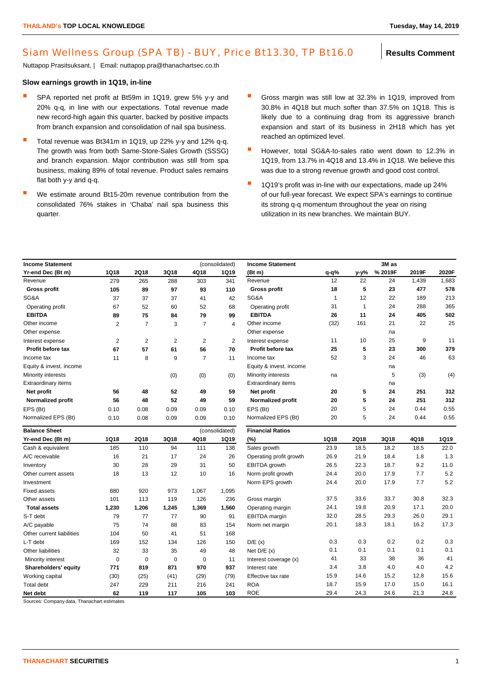## Siam Wellness Group (SPA TB) - BUY, Price Bt13.30, TP Bt16.0 | Results Comment

Nuttapop Prasitsuksant, | Email: nuttapop.pra@thanachartsec.co.th

## **Slow earnings growth in 1Q19, in-line**

- SPA reported net profit at Bt59m in 1Q19, grew 5% v-v and 20% q-q, in line with our expectations. Total revenue made new record-high again this quarter, backed by positive impacts from branch expansion and consolidation of nail spa business.
- Total revenue was Bt341m in 1Q19, up 22% y-y and 12% q-q. The growth was from both Same-Store-Sales Growth (SSSG) and branch expansion. Major contribution was still from spa business, making 89% of total revenue. Product sales remains flat both y-y and q-q.
- We estimate around Bt15-20m revenue contribution from the consolidated 76% stakes in 'Chaba' nail spa business this quarter.
- Gross margin was still low at 32.3% in 1Q19, improved from 30.8% in 4Q18 but much softer than 37.5% on 1Q18. This is likely due to a continuing drag from its aggressive branch expansion and start of its business in 2H18 which has yet reached an optimized level.
- **H** However, total SG&A-to-sales ratio went down to 12.3% in 1Q19, from 13.7% in 4Q18 and 13.4% in 1Q18. We believe this was due to a strong revenue growth and good cost control.
- <sup>1</sup> 1Q19's profit was in-line with our expectations, made up 24% of our full-year forecast. We expect SPA's earnings to continue its strong q-q momentum throughout the year on rising utilization in its new branches. We maintain BUY.

| (consolidated)<br><b>Income Statement</b> |                |                |                |                |                | <b>Income Statement</b>    | 3M as       |      |         |       |             |
|-------------------------------------------|----------------|----------------|----------------|----------------|----------------|----------------------------|-------------|------|---------|-------|-------------|
| Yr-end Dec (Bt m)                         | <b>1Q18</b>    | <b>2Q18</b>    | 3Q18           | 4Q18           | <b>1Q19</b>    | (Bt m)                     | $q-q$ %     | y-y% | % 2019F | 2019F | 2020F       |
| Revenue                                   | 279            | 265            | 288            | 303            | 341            | Revenue                    | 12          | 22   | 24      | 1,439 | 1,683       |
| Gross profit                              | 105            | 89             | 97             | 93             | 110            | <b>Gross profit</b>        | 18          | 5    | 23      | 477   | 578         |
| SG&A                                      | 37             | 37             | 37             | 41             | 42             | SG&A                       | 1           | 12   | 22      | 189   | 213         |
| Operating profit                          | 67             | 52             | 60             | 52             | 68             | Operating profit           | 31          | 1    | 24      | 288   | 365         |
| <b>EBITDA</b>                             | 89             | 75             | 84             | 79             | 99             | <b>EBITDA</b>              | 26          | 11   | 24      | 405   | 502         |
| Other income                              | $\overline{2}$ | $\overline{7}$ | 3              | $\overline{7}$ | 4              | Other income               | (32)        | 161  | 21      | 22    | 25          |
| Other expense                             |                |                |                |                |                | Other expense              |             |      | na      |       |             |
| Interest expense                          | $\overline{2}$ | $\overline{2}$ | $\overline{2}$ | $\overline{2}$ | $\overline{2}$ | Interest expense           | 11          | 10   | 25      | 9     | 11          |
| Profit before tax                         | 67             | 57             | 61             | 56             | 70             | Profit before tax          | 25          | 5    | 23      | 300   | 379         |
| Income tax                                | 11             | 8              | 9              | $\overline{7}$ | 11             | Income tax                 | 52          | 3    | 24      | 46    | 63          |
| Equity & invest. income                   |                |                |                |                |                | Equity & invest. income    |             |      | na      |       |             |
| Minority interests                        |                |                | (0)            | (0)            | (0)            | Minority interests         | na          |      | 5       | (3)   | (4)         |
| <b>Extraordinary items</b>                |                |                |                |                |                | <b>Extraordinary items</b> |             |      | na      |       |             |
| Net profit                                | 56             | 48             | 52             | 49             | 59             | Net profit                 | 20          | 5    | 24      | 251   | 312         |
| <b>Normalized profit</b>                  | 56             | 48             | 52             | 49             | 59             | Normalized profit          | 20          | 5    | 24      | 251   | 312         |
| EPS (Bt)                                  | 0.10           | 0.08           | 0.09           | 0.09           | 0.10           | EPS (Bt)                   | 20          | 5    | 24      | 0.44  | 0.55        |
| Normalized EPS (Bt)                       | 0.10           | 0.08           | 0.09           | 0.09           | 0.10           | Normalized EPS (Bt)        | 20          | 5    | 24      | 0.44  | 0.55        |
| (consolidated)<br><b>Balance Sheet</b>    |                |                |                |                |                | <b>Financial Ratios</b>    |             |      |         |       |             |
| Yr-end Dec (Bt m)                         | 1Q18           | 2Q18           | 3Q18           | 4Q18           | <b>1Q19</b>    | (%)                        | <b>1Q18</b> | 2Q18 | 3Q18    | 4Q18  | <b>1Q19</b> |
| Cash & equivalent                         | 185            | 110            | 94             | 111            | 138            | Sales growth               | 23.9        | 18.5 | 18.2    | 18.5  | 22.0        |
| A/C receivable                            | 16             | 21             | 17             | 24             | 26             | Operating profit growth    | 26.9        | 21.9 | 18.4    | 1.8   | 1.3         |
| Inventory                                 | 30             | 28             | 29             | 31             | 50             | EBITDA growth              | 26.5        | 22.3 | 18.7    | 9.2   | 11.0        |
| Other current assets                      | 18             | 13             | 12             | 10             | 16             | Norm profit growth         | 24.4        | 20.0 | 17.9    | 7.7   | 5.2         |
| Investment                                |                |                |                |                |                | Norm EPS growth            | 24.4        | 20.0 | 17.9    | 7.7   | 5.2         |
| <b>Fixed assets</b>                       | 880            | 920            | 973            | 1,067          | 1,095          |                            |             |      |         |       |             |
| Other assets                              | 101            | 113            | 119            | 126            | 236            | Gross margin               | 37.5        | 33.6 | 33.7    | 30.8  | 32.3        |
| <b>Total assets</b>                       | 1,230          | 1,206          | 1,245          | 1,369          | 1,560          | Operating margin           | 24.1        | 19.8 | 20.9    | 17.1  | 20.0        |
| S-T debt                                  | 79             | 77             | 77             | 90             | 91             | <b>EBITDA</b> margin       | 32.0        | 28.5 | 29.3    | 26.0  | 29.1        |
| A/C payable                               | 75             | 74             | 88             | 83             | 154            | Norm net margin            | 20.1        | 18.3 | 18.1    | 16.2  | 17.3        |
| Other current liabilities                 | 104            | 50             | 41             | 51             | 168            |                            |             |      |         |       |             |
| L-T debt                                  | 169            | 152            | 134            | 126            | 150            | D/E(x)                     | 0.3         | 0.3  | 0.2     | 0.2   | 0.3         |
| Other liabilities                         | 32             | 33             | 35             | 49             | 48             | Net $D/E(x)$               | 0.1         | 0.1  | 0.1     | 0.1   | 0.1         |
| Minority interest                         | $\mathbf 0$    | $\mathbf 0$    | $\mathbf 0$    | 0              | 11             | Interest coverage (x)      | 41          | 33   | 38      | 36    | 41          |
| Shareholders' equity                      | 771            | 819            | 871            | 970            | 937            | Interest rate              | 3.4         | 3.8  | 4.0     | 4.0   | 4.2         |
| Working capital                           | (30)           | (25)           | (41)           | (29)           | (79)           | Effective tax rate         | 15.9        | 14.6 | 15.2    | 12.8  | 15.6        |
| Total debt                                | 247            | 229            | 211            | 216            | 241            | <b>ROA</b>                 | 18.7        | 15.9 | 17.0    | 15.0  | 16.1        |
| Net debt                                  | 62             | 119            | 117            | 105            | 103            | <b>ROE</b>                 | 29.4        | 24.3 | 24.6    | 21.3  | 24.8        |

Sources: Company data, Thanachart estimates